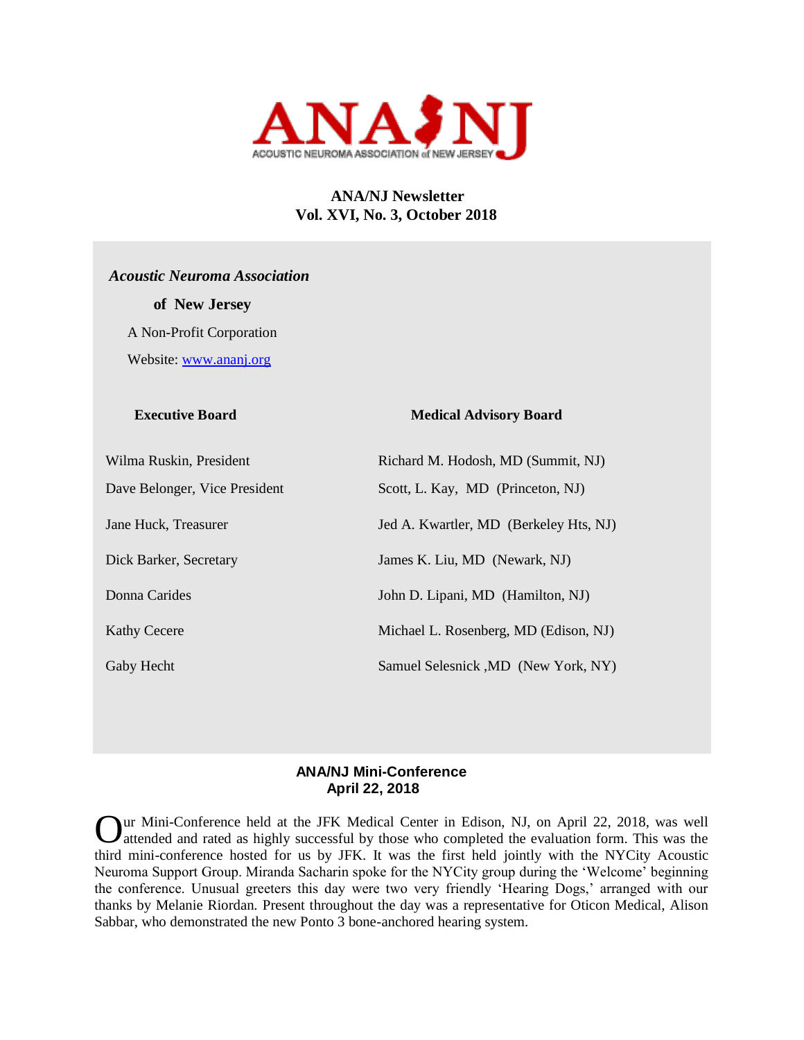

# **ANA/NJ Newsletter Vol. XVI, No. 3, October 2018**

 *Acoustic Neuroma Association*  **of New Jersey**  A Non-Profit Corporation Website: [www.ananj.org](http://www.ananj.org/)

# **Executive Board Medical Advisory Board**

| Wilma Ruskin, President       | Richard M. Hodosh, MD (Summit, NJ)     |
|-------------------------------|----------------------------------------|
| Dave Belonger, Vice President | Scott, L. Kay, MD (Princeton, NJ)      |
| Jane Huck, Treasurer          | Jed A. Kwartler, MD (Berkeley Hts, NJ) |
| Dick Barker, Secretary        | James K. Liu, MD (Newark, NJ)          |
| Donna Carides                 | John D. Lipani, MD (Hamilton, NJ)      |
| <b>Kathy Cecere</b>           | Michael L. Rosenberg, MD (Edison, NJ)  |
| Gaby Hecht                    | Samuel Selesnick , MD (New York, NY)   |

# **ANA/NJ Mini-Conference April 22, 2018**

Our Mini-Conference held at the JFK Medical Center in Edison, NJ, on April 22, 2018, was well attended and rated as highly successful by those who completed the evaluation form. This was the attended and rated as highly successful by those who completed the evaluation form. This was the third mini-conference hosted for us by JFK. It was the first held jointly with the NYCity Acoustic Neuroma Support Group. Miranda Sacharin spoke for the NYCity group during the 'Welcome' beginning the conference. Unusual greeters this day were two very friendly 'Hearing Dogs,' arranged with our thanks by Melanie Riordan. Present throughout the day was a representative for Oticon Medical, Alison Sabbar, who demonstrated the new Ponto 3 bone-anchored hearing system.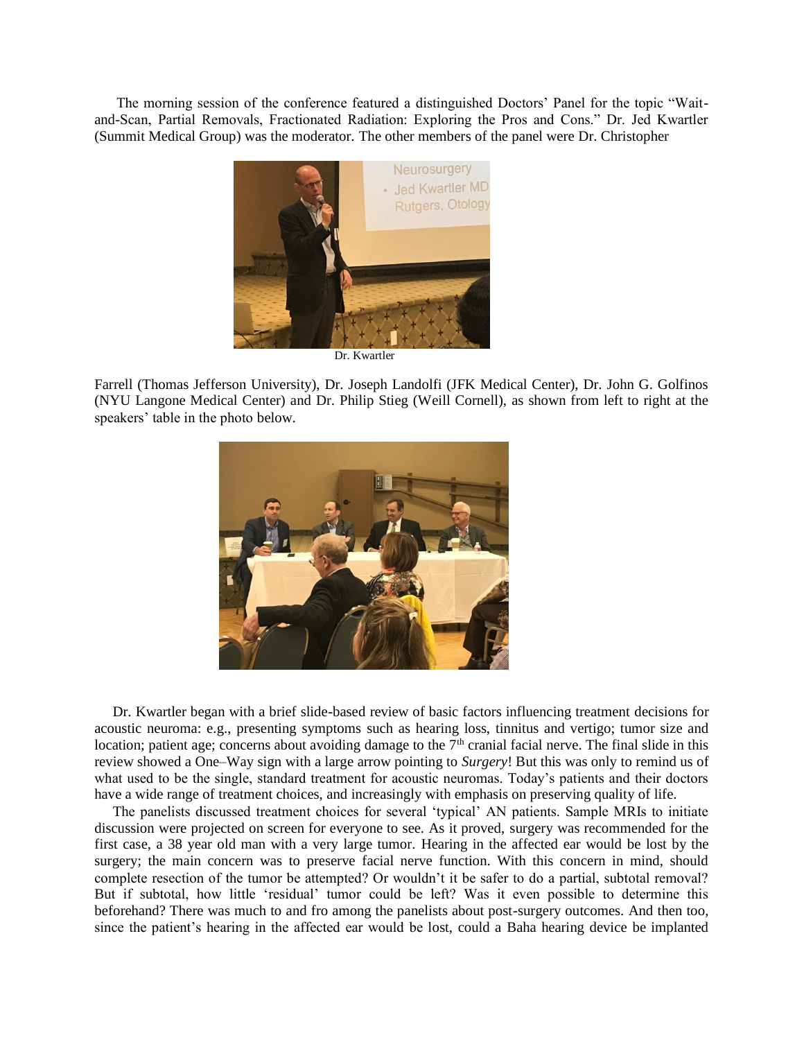The morning session of the conference featured a distinguished Doctors' Panel for the topic "Waitand-Scan, Partial Removals, Fractionated Radiation: Exploring the Pros and Cons." Dr. Jed Kwartler (Summit Medical Group) was the moderator. The other members of the panel were Dr. Christopher



Dr. Kwartler

Farrell (Thomas Jefferson University), Dr. Joseph Landolfi (JFK Medical Center), Dr. John G. Golfinos (NYU Langone Medical Center) and Dr. Philip Stieg (Weill Cornell), as shown from left to right at the speakers' table in the photo below.



 Dr. Kwartler began with a brief slide-based review of basic factors influencing treatment decisions for acoustic neuroma: e.g., presenting symptoms such as hearing loss, tinnitus and vertigo; tumor size and location; patient age; concerns about avoiding damage to the  $7<sup>th</sup>$  cranial facial nerve. The final slide in this review showed a One–Way sign with a large arrow pointing to *Surgery*! But this was only to remind us of what used to be the single, standard treatment for acoustic neuromas. Today's patients and their doctors have a wide range of treatment choices, and increasingly with emphasis on preserving quality of life.

 The panelists discussed treatment choices for several 'typical' AN patients. Sample MRIs to initiate discussion were projected on screen for everyone to see. As it proved, surgery was recommended for the first case, a 38 year old man with a very large tumor. Hearing in the affected ear would be lost by the surgery; the main concern was to preserve facial nerve function. With this concern in mind, should complete resection of the tumor be attempted? Or wouldn't it be safer to do a partial, subtotal removal? But if subtotal, how little 'residual' tumor could be left? Was it even possible to determine this beforehand? There was much to and fro among the panelists about post-surgery outcomes. And then too, since the patient's hearing in the affected ear would be lost, could a Baha hearing device be implanted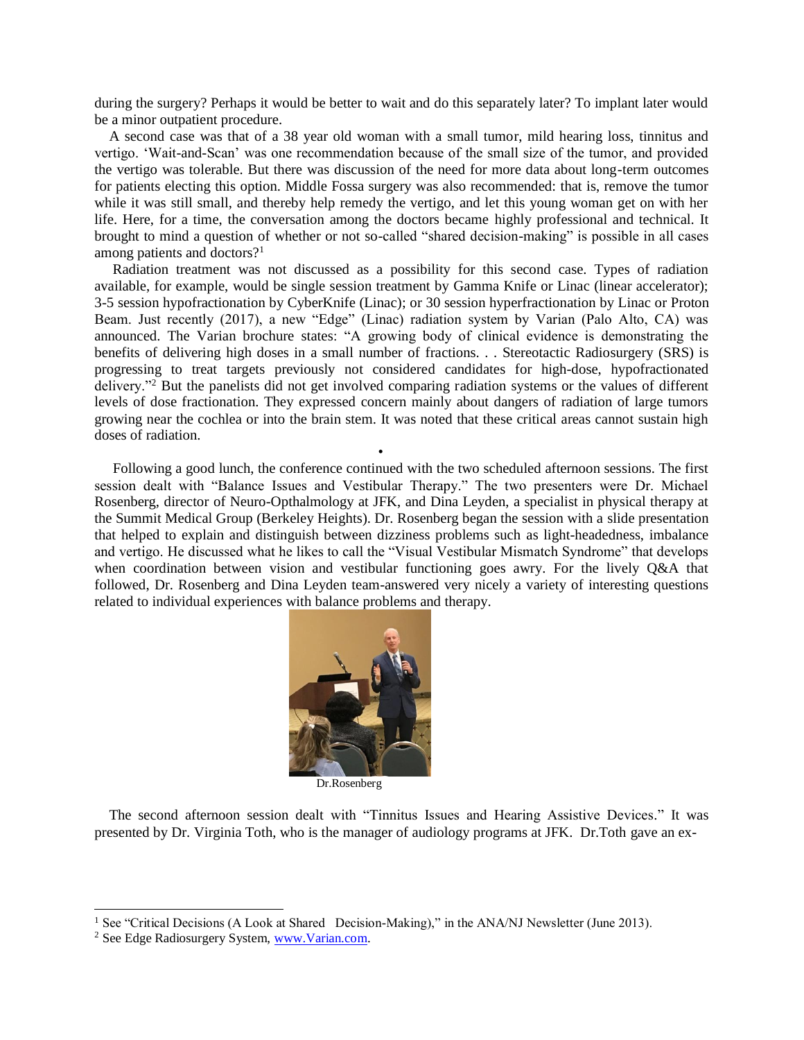during the surgery? Perhaps it would be better to wait and do this separately later? To implant later would be a minor outpatient procedure.

 A second case was that of a 38 year old woman with a small tumor, mild hearing loss, tinnitus and vertigo. 'Wait-and-Scan' was one recommendation because of the small size of the tumor, and provided the vertigo was tolerable. But there was discussion of the need for more data about long-term outcomes for patients electing this option. Middle Fossa surgery was also recommended: that is, remove the tumor while it was still small, and thereby help remedy the vertigo, and let this young woman get on with her life. Here, for a time, the conversation among the doctors became highly professional and technical. It brought to mind a question of whether or not so-called "shared decision-making" is possible in all cases among patients and doctors?<sup>1</sup>

 Radiation treatment was not discussed as a possibility for this second case. Types of radiation available, for example, would be single session treatment by Gamma Knife or Linac (linear accelerator); 3-5 session hypofractionation by CyberKnife (Linac); or 30 session hyperfractionation by Linac or Proton Beam. Just recently (2017), a new "Edge" (Linac) radiation system by Varian (Palo Alto, CA) was announced. The Varian brochure states: "A growing body of clinical evidence is demonstrating the benefits of delivering high doses in a small number of fractions. . . Stereotactic Radiosurgery (SRS) is progressing to treat targets previously not considered candidates for high-dose, hypofractionated delivery."<sup>2</sup> But the panelists did not get involved comparing radiation systems or the values of different levels of dose fractionation. They expressed concern mainly about dangers of radiation of large tumors growing near the cochlea or into the brain stem. It was noted that these critical areas cannot sustain high doses of radiation.

 Following a good lunch, the conference continued with the two scheduled afternoon sessions. The first session dealt with "Balance Issues and Vestibular Therapy." The two presenters were Dr. Michael Rosenberg, director of Neuro-Opthalmology at JFK, and Dina Leyden, a specialist in physical therapy at the Summit Medical Group (Berkeley Heights). Dr. Rosenberg began the session with a slide presentation that helped to explain and distinguish between dizziness problems such as light-headedness, imbalance and vertigo. He discussed what he likes to call the "Visual Vestibular Mismatch Syndrome" that develops when coordination between vision and vestibular functioning goes awry. For the lively Q&A that followed, Dr. Rosenberg and Dina Leyden team-answered very nicely a variety of interesting questions related to individual experiences with balance problems and therapy.



Dr.Rosenberg

 The second afternoon session dealt with "Tinnitus Issues and Hearing Assistive Devices." It was presented by Dr. Virginia Toth, who is the manager of audiology programs at JFK. Dr.Toth gave an ex-

 $\overline{a}$ 

•

<sup>&</sup>lt;sup>1</sup> See "Critical Decisions (A Look at Shared Decision-Making)," in the ANA/NJ Newsletter (June 2013).

<sup>2</sup> See Edge Radiosurgery System[, www.Varian.com.](http://www.varian.com/)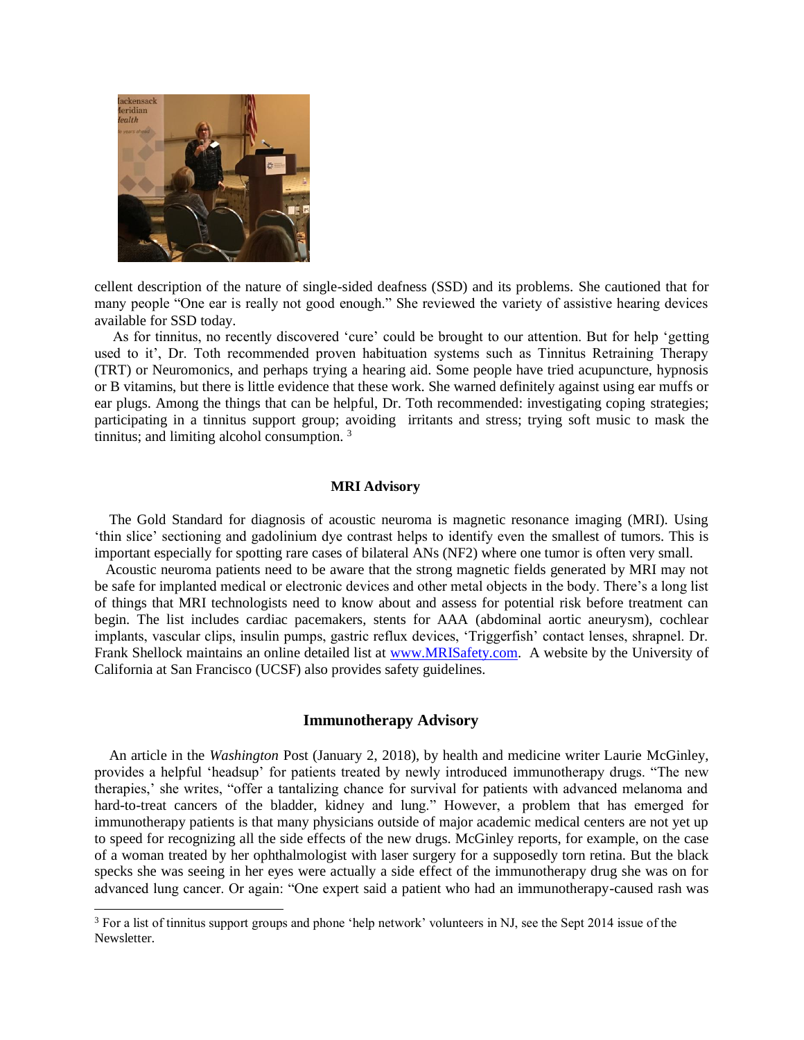

 $\overline{a}$ 

cellent description of the nature of single-sided deafness (SSD) and its problems. She cautioned that for many people "One ear is really not good enough." She reviewed the variety of assistive hearing devices available for SSD today.

 As for tinnitus, no recently discovered 'cure' could be brought to our attention. But for help 'getting used to it', Dr. Toth recommended proven habituation systems such as Tinnitus Retraining Therapy (TRT) or Neuromonics, and perhaps trying a hearing aid. Some people have tried acupuncture, hypnosis or B vitamins, but there is little evidence that these work. She warned definitely against using ear muffs or ear plugs. Among the things that can be helpful, Dr. Toth recommended: investigating coping strategies; participating in a tinnitus support group; avoiding irritants and stress; trying soft music to mask the tinnitus; and limiting alcohol consumption. <sup>3</sup>

#### **MRI Advisory**

 The Gold Standard for diagnosis of acoustic neuroma is magnetic resonance imaging (MRI). Using 'thin slice' sectioning and gadolinium dye contrast helps to identify even the smallest of tumors. This is important especially for spotting rare cases of bilateral ANs (NF2) where one tumor is often very small.

 Acoustic neuroma patients need to be aware that the strong magnetic fields generated by MRI may not be safe for implanted medical or electronic devices and other metal objects in the body. There's a long list of things that MRI technologists need to know about and assess for potential risk before treatment can begin. The list includes cardiac pacemakers, stents for AAA (abdominal aortic aneurysm), cochlear implants, vascular clips, insulin pumps, gastric reflux devices, 'Triggerfish' contact lenses, shrapnel. Dr. Frank Shellock maintains an online detailed list at [www.MRISafety.com.](http://www.mrisafety.com/) A website by the University of California at San Francisco (UCSF) also provides safety guidelines.

# **Immunotherapy Advisory**

 An article in the *Washington* Post (January 2, 2018), by health and medicine writer Laurie McGinley, provides a helpful 'headsup' for patients treated by newly introduced immunotherapy drugs. "The new therapies,' she writes, "offer a tantalizing chance for survival for patients with advanced melanoma and hard-to-treat cancers of the bladder, kidney and lung." However, a problem that has emerged for immunotherapy patients is that many physicians outside of major academic medical centers are not yet up to speed for recognizing all the side effects of the new drugs. McGinley reports, for example, on the case of a woman treated by her ophthalmologist with laser surgery for a supposedly torn retina. But the black specks she was seeing in her eyes were actually a side effect of the immunotherapy drug she was on for advanced lung cancer. Or again: "One expert said a patient who had an immunotherapy-caused rash was

<sup>&</sup>lt;sup>3</sup> For a list of tinnitus support groups and phone 'help network' volunteers in NJ, see the Sept 2014 issue of the Newsletter.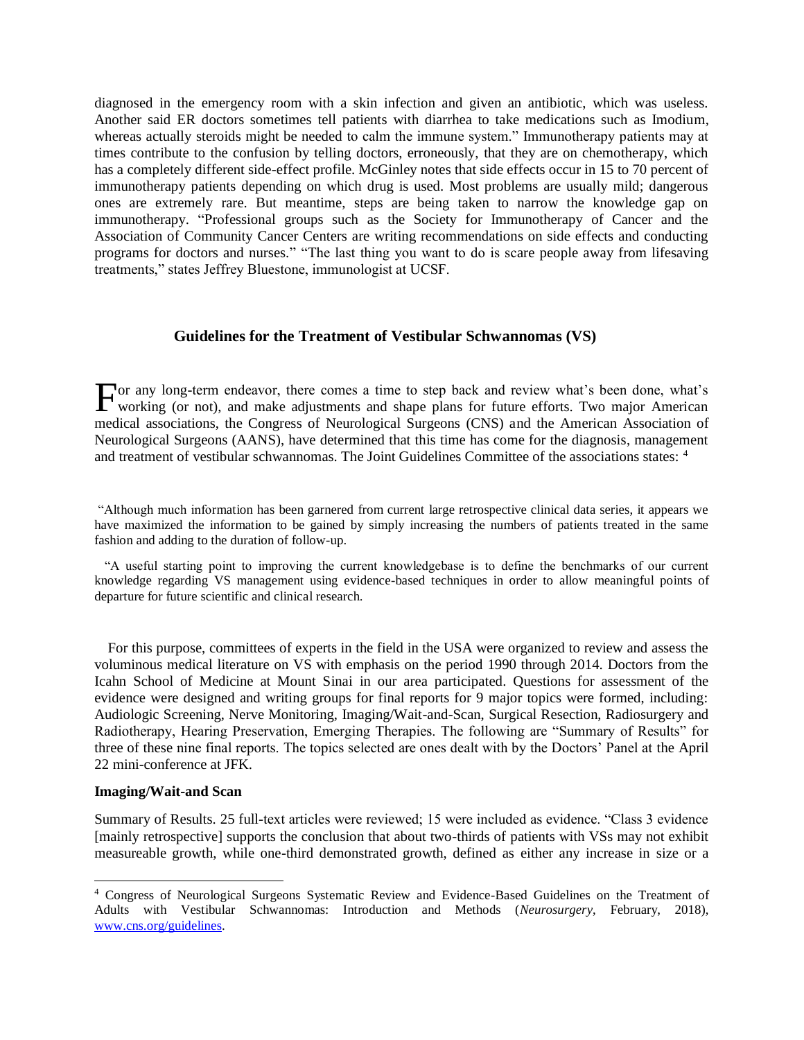diagnosed in the emergency room with a skin infection and given an antibiotic, which was useless. Another said ER doctors sometimes tell patients with diarrhea to take medications such as Imodium, whereas actually steroids might be needed to calm the immune system." Immunotherapy patients may at times contribute to the confusion by telling doctors, erroneously, that they are on chemotherapy, which has a completely different side-effect profile. McGinley notes that side effects occur in 15 to 70 percent of immunotherapy patients depending on which drug is used. Most problems are usually mild; dangerous ones are extremely rare. But meantime, steps are being taken to narrow the knowledge gap on immunotherapy. "Professional groups such as the Society for Immunotherapy of Cancer and the Association of Community Cancer Centers are writing recommendations on side effects and conducting programs for doctors and nurses." "The last thing you want to do is scare people away from lifesaving treatments," states Jeffrey Bluestone, immunologist at UCSF.

### **Guidelines for the Treatment of Vestibular Schwannomas (VS)**

or any long-term endeavor, there comes a time to step back and review what's been done, what's For any long-term endeavor, there comes a time to step back and review what's been done, what's working (or not), and make adjustments and shape plans for future efforts. Two major American medical associations, the Congress of Neurological Surgeons (CNS) and the American Association of Neurological Surgeons (AANS), have determined that this time has come for the diagnosis, management and treatment of vestibular schwannomas. The Joint Guidelines Committee of the associations states: <sup>4</sup>

"Although much information has been garnered from current large retrospective clinical data series, it appears we have maximized the information to be gained by simply increasing the numbers of patients treated in the same fashion and adding to the duration of follow-up.

 "A useful starting point to improving the current knowledgebase is to define the benchmarks of our current knowledge regarding VS management using evidence-based techniques in order to allow meaningful points of departure for future scientific and clinical research.

 For this purpose, committees of experts in the field in the USA were organized to review and assess the voluminous medical literature on VS with emphasis on the period 1990 through 2014. Doctors from the Icahn School of Medicine at Mount Sinai in our area participated. Questions for assessment of the evidence were designed and writing groups for final reports for 9 major topics were formed, including: Audiologic Screening, Nerve Monitoring, Imaging/Wait-and-Scan, Surgical Resection, Radiosurgery and Radiotherapy, Hearing Preservation, Emerging Therapies. The following are "Summary of Results" for three of these nine final reports. The topics selected are ones dealt with by the Doctors' Panel at the April 22 mini-conference at JFK.

#### **Imaging/Wait-and Scan**

Summary of Results. 25 full-text articles were reviewed; 15 were included as evidence. "Class 3 evidence [mainly retrospective] supports the conclusion that about two-thirds of patients with VSs may not exhibit measureable growth, while one-third demonstrated growth, defined as either any increase in size or a

<sup>4</sup> Congress of Neurological Surgeons Systematic Review and Evidence-Based Guidelines on the Treatment of Adults with Vestibular Schwannomas: Introduction and Methods (*Neurosurgery*, February, 2018), [www.cns.org/guidelines.](http://www.cns.org/guidelines)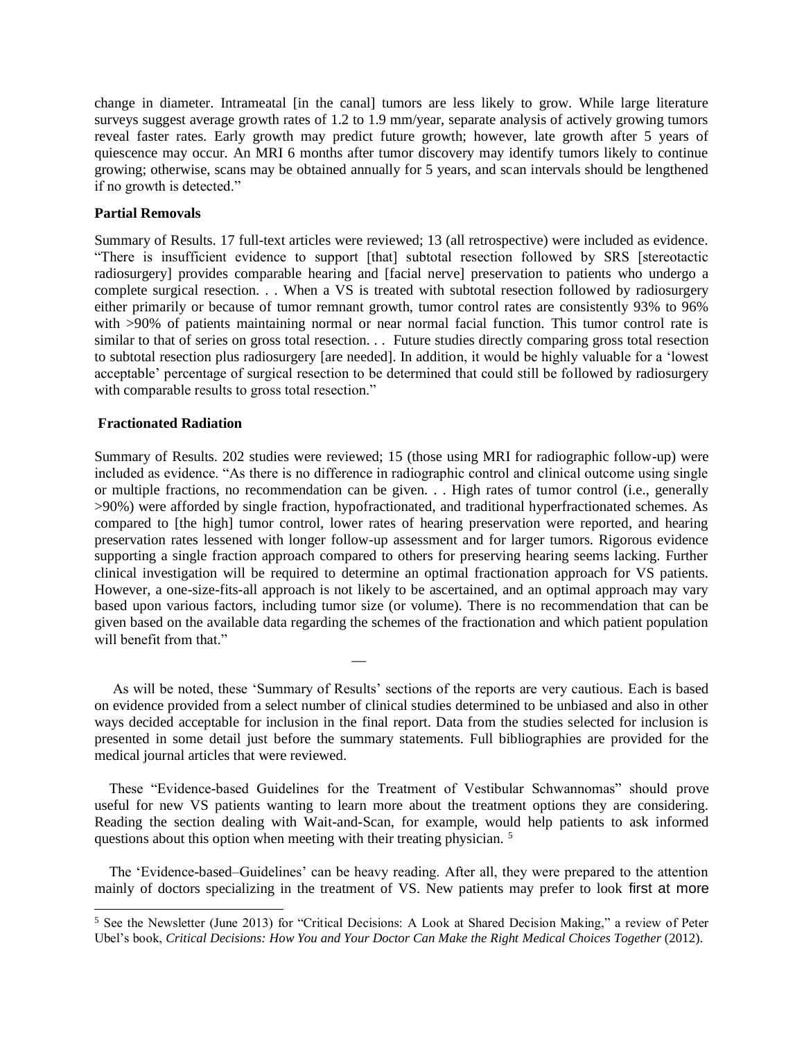change in diameter. Intrameatal [in the canal] tumors are less likely to grow. While large literature surveys suggest average growth rates of 1.2 to 1.9 mm/year, separate analysis of actively growing tumors reveal faster rates. Early growth may predict future growth; however, late growth after 5 years of quiescence may occur. An MRI 6 months after tumor discovery may identify tumors likely to continue growing; otherwise, scans may be obtained annually for 5 years, and scan intervals should be lengthened if no growth is detected."

# **Partial Removals**

Summary of Results. 17 full-text articles were reviewed; 13 (all retrospective) were included as evidence. "There is insufficient evidence to support [that] subtotal resection followed by SRS [stereotactic radiosurgery] provides comparable hearing and [facial nerve] preservation to patients who undergo a complete surgical resection. . . When a VS is treated with subtotal resection followed by radiosurgery either primarily or because of tumor remnant growth, tumor control rates are consistently 93% to 96% with >90% of patients maintaining normal or near normal facial function. This tumor control rate is similar to that of series on gross total resection. . . Future studies directly comparing gross total resection to subtotal resection plus radiosurgery [are needed]. In addition, it would be highly valuable for a 'lowest acceptable' percentage of surgical resection to be determined that could still be followed by radiosurgery with comparable results to gross total resection."

# **Fractionated Radiation**

 $\overline{a}$ 

Summary of Results. 202 studies were reviewed; 15 (those using MRI for radiographic follow-up) were included as evidence. "As there is no difference in radiographic control and clinical outcome using single or multiple fractions, no recommendation can be given. . . High rates of tumor control (i.e., generally >90%) were afforded by single fraction, hypofractionated, and traditional hyperfractionated schemes. As compared to [the high] tumor control, lower rates of hearing preservation were reported, and hearing preservation rates lessened with longer follow-up assessment and for larger tumors. Rigorous evidence supporting a single fraction approach compared to others for preserving hearing seems lacking. Further clinical investigation will be required to determine an optimal fractionation approach for VS patients. However, a one-size-fits-all approach is not likely to be ascertained, and an optimal approach may vary based upon various factors, including tumor size (or volume). There is no recommendation that can be given based on the available data regarding the schemes of the fractionation and which patient population will benefit from that."

 As will be noted, these 'Summary of Results' sections of the reports are very cautious. Each is based on evidence provided from a select number of clinical studies determined to be unbiased and also in other ways decided acceptable for inclusion in the final report. Data from the studies selected for inclusion is presented in some detail just before the summary statements. Full bibliographies are provided for the medical journal articles that were reviewed.

\_\_

 These "Evidence-based Guidelines for the Treatment of Vestibular Schwannomas" should prove useful for new VS patients wanting to learn more about the treatment options they are considering. Reading the section dealing with Wait-and-Scan, for example, would help patients to ask informed questions about this option when meeting with their treating physician.<sup>5</sup>

 The 'Evidence-based–Guidelines' can be heavy reading. After all, they were prepared to the attention mainly of doctors specializing in the treatment of VS. New patients may prefer to look first at more

<sup>&</sup>lt;sup>5</sup> See the Newsletter (June 2013) for "Critical Decisions: A Look at Shared Decision Making," a review of Peter Ubel's book, *Critical Decisions: How You and Your Doctor Can Make the Right Medical Choices Together* (2012).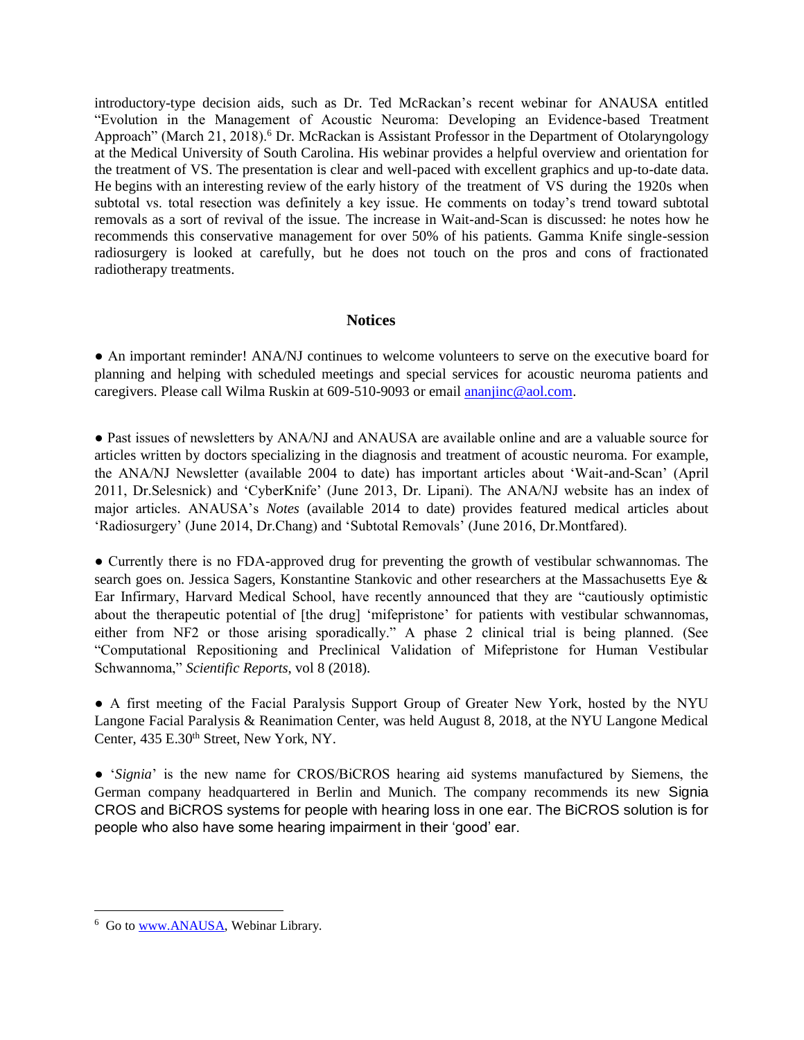introductory-type decision aids, such as Dr. Ted McRackan's recent webinar for ANAUSA entitled "Evolution in the Management of Acoustic Neuroma: Developing an Evidence-based Treatment Approach" (March 21, 2018).<sup>6</sup> Dr. McRackan is Assistant Professor in the Department of Otolaryngology at the Medical University of South Carolina. His webinar provides a helpful overview and orientation for the treatment of VS. The presentation is clear and well-paced with excellent graphics and up-to-date data. He begins with an interesting review of the early history of the treatment of VS during the 1920s when subtotal vs. total resection was definitely a key issue. He comments on today's trend toward subtotal removals as a sort of revival of the issue. The increase in Wait-and-Scan is discussed: he notes how he recommends this conservative management for over 50% of his patients. Gamma Knife single-session radiosurgery is looked at carefully, but he does not touch on the pros and cons of fractionated radiotherapy treatments.

# **Notices**

● An important reminder! ANA/NJ continues to welcome volunteers to serve on the executive board for planning and helping with scheduled meetings and special services for acoustic neuroma patients and caregivers. Please call Wilma Ruskin at 609-510-9093 or emai[l ananjinc@aol.com.](mailto:ananjinc@aol.com)

● Past issues of newsletters by ANA/NJ and ANAUSA are available online and are a valuable source for articles written by doctors specializing in the diagnosis and treatment of acoustic neuroma. For example, the ANA/NJ Newsletter (available 2004 to date) has important articles about 'Wait-and-Scan' (April 2011, Dr.Selesnick) and 'CyberKnife' (June 2013, Dr. Lipani). The ANA/NJ website has an index of major articles. ANAUSA's *Notes* (available 2014 to date) provides featured medical articles about 'Radiosurgery' (June 2014, Dr.Chang) and 'Subtotal Removals' (June 2016, Dr.Montfared).

● Currently there is no FDA-approved drug for preventing the growth of vestibular schwannomas. The search goes on. Jessica Sagers, Konstantine Stankovic and other researchers at the Massachusetts Eye & Ear Infirmary, Harvard Medical School, have recently announced that they are "cautiously optimistic about the therapeutic potential of [the drug] 'mifepristone' for patients with vestibular schwannomas, either from NF2 or those arising sporadically." A phase 2 clinical trial is being planned. (See "Computational Repositioning and Preclinical Validation of Mifepristone for Human Vestibular Schwannoma," *Scientific Reports*, vol 8 (2018).

● A first meeting of the Facial Paralysis Support Group of Greater New York, hosted by the NYU Langone Facial Paralysis & Reanimation Center, was held August 8, 2018, at the NYU Langone Medical Center, 435 E.30<sup>th</sup> Street, New York, NY.

● '*Signia*' is the new name for CROS/BiCROS hearing aid systems manufactured by Siemens, the German company headquartered in Berlin and Munich. The company recommends its new Signia CROS and BiCROS systems for people with hearing loss in one ear. The BiCROS solution is for people who also have some hearing impairment in their 'good' ear.

<sup>&</sup>lt;sup>6</sup> Go to [www.ANAUSA,](http://www.anausa/) Webinar Library.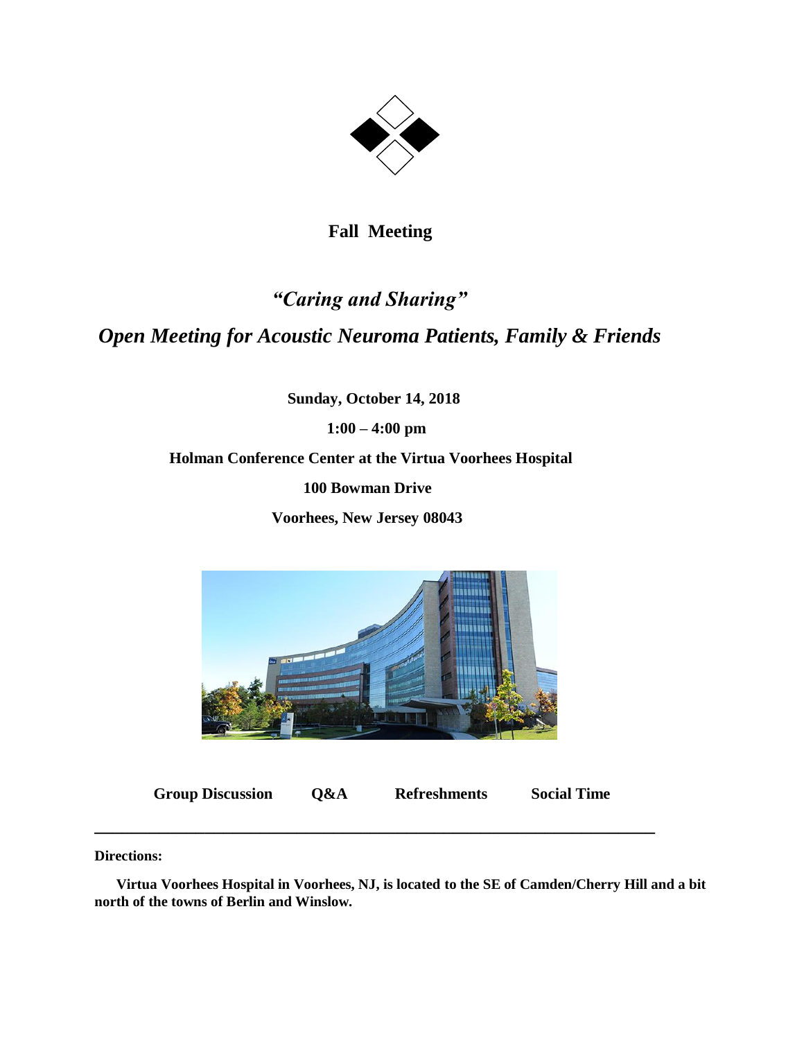

 **Fall Meeting**

# *"Caring and Sharing" Open Meeting for Acoustic Neuroma Patients, Family & Friends*

 **Sunday, October 14, 2018**

 **1:00 – 4:00 pm**

 **Holman Conference Center at the Virtua Voorhees Hospital**

 **100 Bowman Drive**

 **Voorhees, New Jersey 08043**



 **Group Discussion Q&A Refreshments Social Time**

**\_\_\_\_\_\_\_\_\_\_\_\_\_\_\_\_\_\_\_\_\_\_\_\_\_\_\_\_\_\_\_\_\_\_\_\_\_\_\_\_\_\_\_\_\_\_\_\_\_\_\_\_\_\_\_\_\_\_\_\_\_**

**Directions:** 

 **Virtua Voorhees Hospital in Voorhees, NJ, is located to the SE of Camden/Cherry Hill and a bit north of the towns of Berlin and Winslow.**